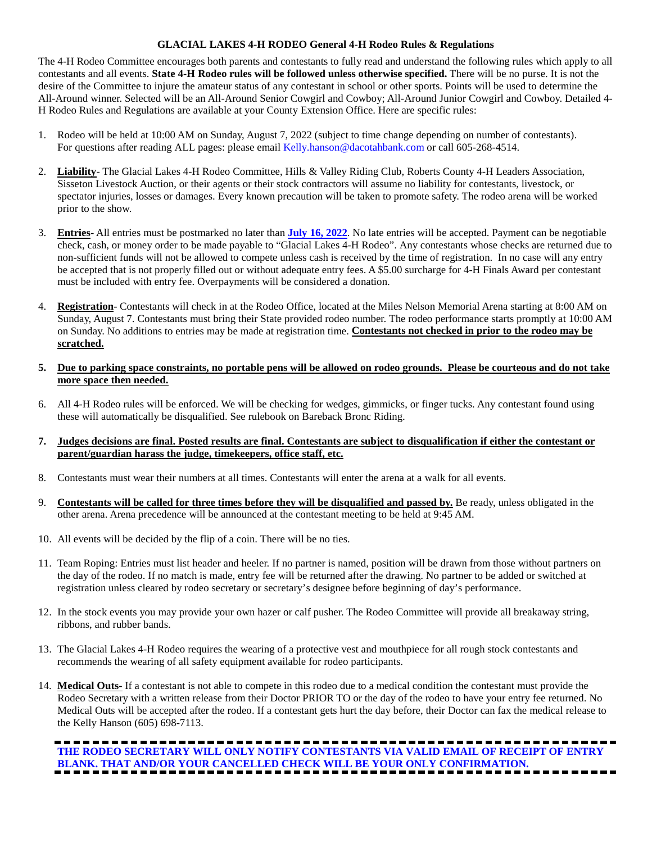## **GLACIAL LAKES 4-H RODEO General 4-H Rodeo Rules & Regulations**

The 4-H Rodeo Committee encourages both parents and contestants to fully read and understand the following rules which apply to all contestants and all events. **State 4-H Rodeo rules will be followed unless otherwise specified.** There will be no purse. It is not the desire of the Committee to injure the amateur status of any contestant in school or other sports. Points will be used to determine the All-Around winner. Selected will be an All-Around Senior Cowgirl and Cowboy; All-Around Junior Cowgirl and Cowboy. Detailed 4- H Rodeo Rules and Regulations are available at your County Extension Office. Here are specific rules:

- 1. Rodeo will be held at 10:00 AM on Sunday, August 7, 2022 (subject to time change depending on number of contestants). For questions after reading ALL pages: please email Kelly.hanson@dacotahbank.com or call 605-268-4514.
- 2. **Liability** The Glacial Lakes 4-H Rodeo Committee, Hills & Valley Riding Club, Roberts County 4-H Leaders Association, Sisseton Livestock Auction, or their agents or their stock contractors will assume no liability for contestants, livestock, or spectator injuries, losses or damages. Every known precaution will be taken to promote safety. The rodeo arena will be worked prior to the show.
- 3. **Entries** All entries must be postmarked no later than **July 16, 2022**. No late entries will be accepted. Payment can be negotiable check, cash, or money order to be made payable to "Glacial Lakes 4-H Rodeo". Any contestants whose checks are returned due to non-sufficient funds will not be allowed to compete unless cash is received by the time of registration. In no case will any entry be accepted that is not properly filled out or without adequate entry fees. A \$5.00 surcharge for 4-H Finals Award per contestant must be included with entry fee. Overpayments will be considered a donation.
- 4. **Registration** Contestants will check in at the Rodeo Office, located at the Miles Nelson Memorial Arena starting at 8:00 AM on Sunday, August 7. Contestants must bring their State provided rodeo number. The rodeo performance starts promptly at 10:00 AM on Sunday. No additions to entries may be made at registration time. **Contestants not checked in prior to the rodeo may be scratched.**
- **5. Due to parking space constraints, no portable pens will be allowed on rodeo grounds. Please be courteous and do not take more space then needed.**
- 6. All 4-H Rodeo rules will be enforced. We will be checking for wedges, gimmicks, or finger tucks. Any contestant found using these will automatically be disqualified. See rulebook on Bareback Bronc Riding.
- **7. Judges decisions are final. Posted results are final. Contestants are subject to disqualification if either the contestant or parent/guardian harass the judge, timekeepers, office staff, etc.**
- 8. Contestants must wear their numbers at all times. Contestants will enter the arena at a walk for all events.
- 9. **Contestants will be called for three times before they will be disqualified and passed by.** Be ready, unless obligated in the other arena. Arena precedence will be announced at the contestant meeting to be held at 9:45 AM.
- 10. All events will be decided by the flip of a coin. There will be no ties.
- 11. Team Roping: Entries must list header and heeler. If no partner is named, position will be drawn from those without partners on the day of the rodeo. If no match is made, entry fee will be returned after the drawing. No partner to be added or switched at registration unless cleared by rodeo secretary or secretary's designee before beginning of day's performance.
- 12. In the stock events you may provide your own hazer or calf pusher. The Rodeo Committee will provide all breakaway string, ribbons, and rubber bands.
- 13. The Glacial Lakes 4-H Rodeo requires the wearing of a protective vest and mouthpiece for all rough stock contestants and recommends the wearing of all safety equipment available for rodeo participants.
- 14. **Medical Outs-** If a contestant is not able to compete in this rodeo due to a medical condition the contestant must provide the Rodeo Secretary with a written release from their Doctor PRIOR TO or the day of the rodeo to have your entry fee returned. No Medical Outs will be accepted after the rodeo. If a contestant gets hurt the day before, their Doctor can fax the medical release to the Kelly Hanson (605) 698-7113.

# **THE RODEO SECRETARY WILL ONLY NOTIFY CONTESTANTS VIA VALID EMAIL OF RECEIPT OF ENTRY BLANK. THAT AND/OR YOUR CANCELLED CHECK WILL BE YOUR ONLY CONFIRMATION.**